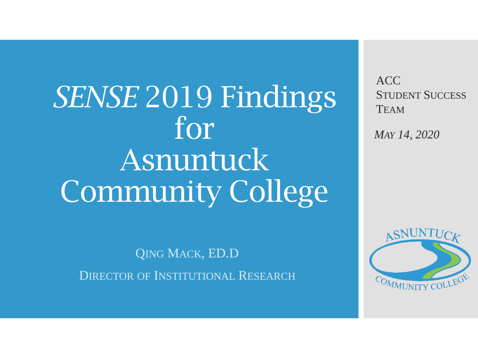*SENSE* 2019 Findings for Asnuntuck Community College

QING MACK, ED.D DIRECTOR OF INSTITUTIONAL RESEARCH ACC STUDENT SUCCESS **TEAM** 

*MAY 14, 2020*

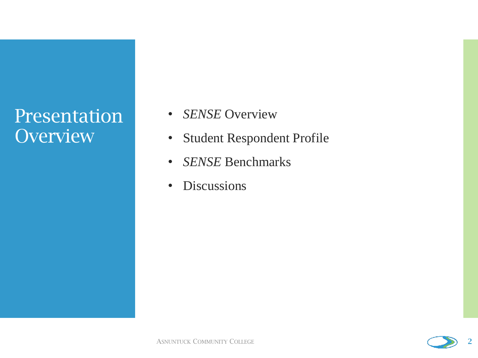## **Presentation Overview**

- *SENSE* Overview
- Student Respondent Profile
- *SENSE* Benchmarks
- Discussions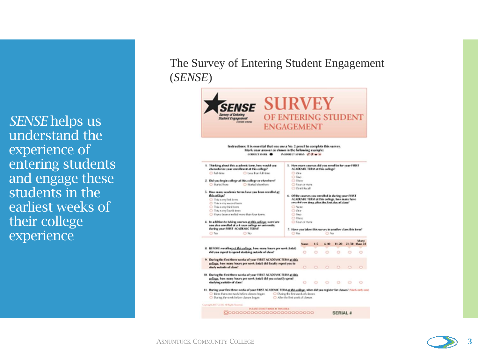*SENSE* helps us understand the experience of entering students and engage these students in the earliest weeks of their college experience

The Survey of Entering Student Engagement (*SENSE*)



#### ASNUNTUCK COMMUNITY COLLEGE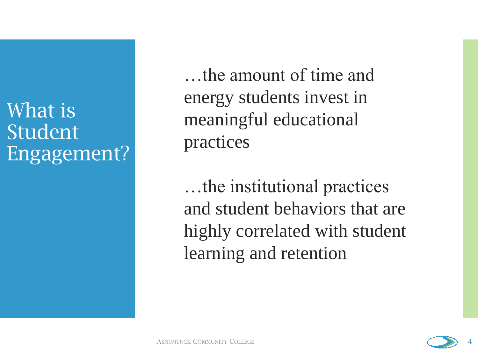# What is Student Engagement?

…the amount of time and energy students invest in meaningful educational practices

…the institutional practices and student behaviors that are highly correlated with student learning and retention

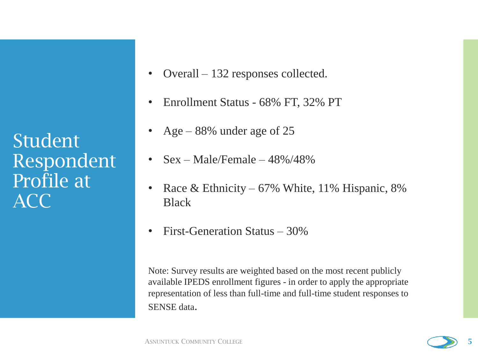**Student** Respondent Profile at ACC

- Overall 132 responses collected.
- Enrollment Status 68% FT, 32% PT
- Age 88% under age of 25
- $Sex Male/Female 48\%/48\%$
- Race & Ethnicity 67% White, 11% Hispanic, 8% Black
- First-Generation Status 30%

Note: Survey results are weighted based on the most recent publicly available IPEDS enrollment figures - in order to apply the appropriate representation of less than full-time and full-time student responses to SENSE data.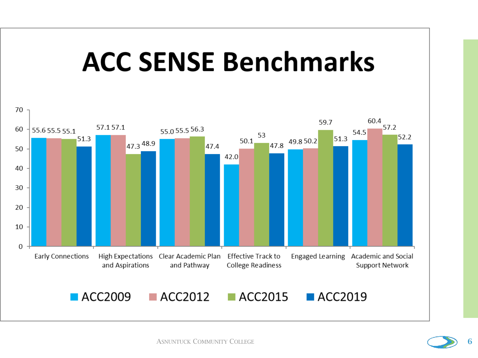

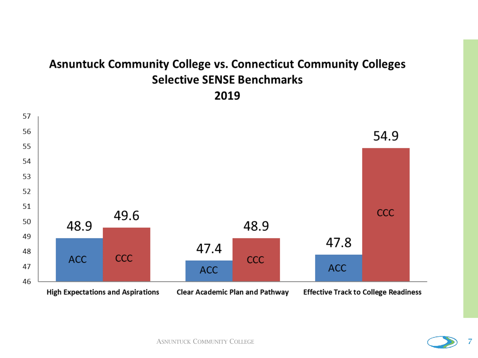## **Asnuntuck Community College vs. Connecticut Community Colleges Selective SENSE Benchmarks** 2019





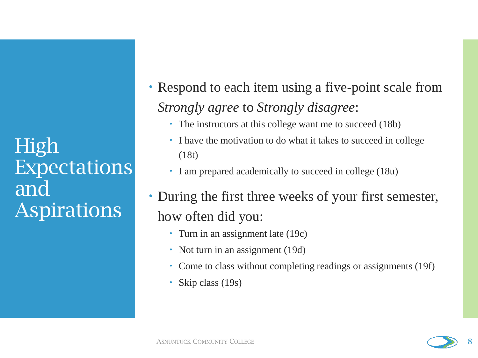High Expectations and Aspirations

- Respond to each item using a five-point scale from *Strongly agree* to *Strongly disagree*:
	- The instructors at this college want me to succeed (18b)
	- I have the motivation to do what it takes to succeed in college (18t)
	- I am prepared academically to succeed in college (18u)
- During the first three weeks of your first semester, how often did you:
	- Turn in an assignment late (19c)
	- Not turn in an assignment (19d)
	- Come to class without completing readings or assignments (19f)
	- Skip class (19s)

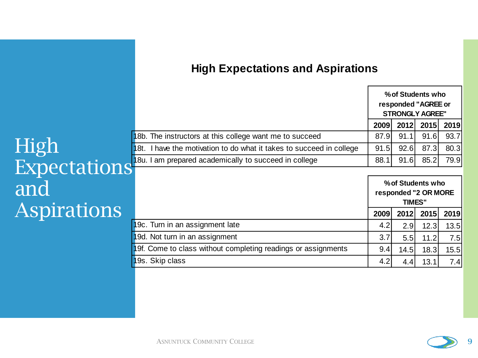#### **High Expectations and Aspirations**

|                                                                      | % of Students who<br>responded "AGREE or<br><b>STRONGLY AGREE"</b> |      |      |                |
|----------------------------------------------------------------------|--------------------------------------------------------------------|------|------|----------------|
|                                                                      | <b>2009</b>                                                        |      |      | 2012 2015 2019 |
| 18b. The instructors at this college want me to succeed              | 87.9I                                                              | 91.1 | 91.6 | 93.7           |
| 18t. I have the motivation to do what it takes to succeed in college | 91.5                                                               | 92.6 | 87.3 | 80.3           |
| 18u. I am prepared academically to succeed in college                | 88.1                                                               | 91.6 | 85.2 | 79.9           |

# High Expectations and Aspirations

|                                                               | % of Students who<br>responded "2 OR MORE<br><b>TIMES"</b> |      |      |      |
|---------------------------------------------------------------|------------------------------------------------------------|------|------|------|
|                                                               | 2009                                                       | 2012 | 2015 | 2019 |
| 19c. Turn in an assignment late                               | 4.2 <sub>l</sub>                                           | 2.9  | 12.3 | 13.5 |
| 19d. Not turn in an assignment                                | 3.7 <sub>l</sub>                                           | 5.5  | 11.2 | 7.5  |
| 19f. Come to class without completing readings or assignments | 9.4                                                        | 14.5 | 18.3 | 15.5 |
| 19s. Skip class                                               | 4.2                                                        | 4.4  | 13.1 | 7.4  |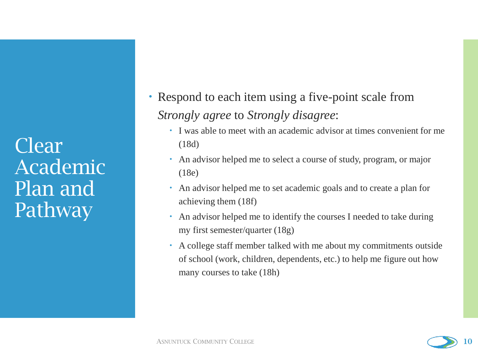Clear Academic Plan and Pathway

- Respond to each item using a five-point scale from *Strongly agree* to *Strongly disagree*:
	- I was able to meet with an academic advisor at times convenient for me (18d)
	- An advisor helped me to select a course of study, program, or major (18e)
	- An advisor helped me to set academic goals and to create a plan for achieving them (18f)
	- An advisor helped me to identify the courses I needed to take during my first semester/quarter (18g)
	- A college staff member talked with me about my commitments outside of school (work, children, dependents, etc.) to help me figure out how many courses to take (18h)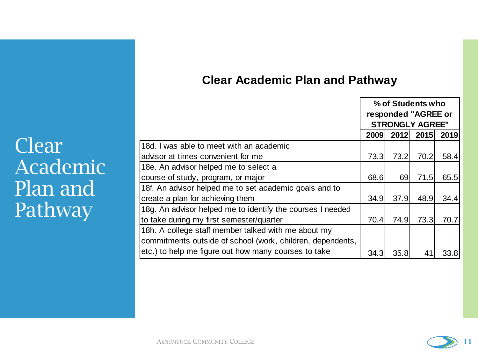## **Clear Academic Plan and Pathway**

|                                                            | % of Students who<br>responded "AGREE or |      |      |      |
|------------------------------------------------------------|------------------------------------------|------|------|------|
|                                                            |                                          |      |      |      |
|                                                            | <b>STRONGLY AGREE"</b>                   |      |      |      |
|                                                            | 2009                                     | 2012 | 2015 | 2019 |
| 18d. I was able to meet with an academic                   |                                          |      |      |      |
| advisor at times convenient for me                         | 73.3                                     | 73.2 | 70.2 | 58.4 |
| 18e. An advisor helped me to select a                      |                                          |      |      |      |
| course of study, program, or major                         | 68.6                                     | 69   | 71.5 | 65.5 |
| 18f. An advisor helped me to set academic goals and to     |                                          |      |      |      |
| create a plan for achieving them                           | 34.9                                     | 37.9 | 48.9 | 34.4 |
| 18g. An advisor helped me to identify the courses I needed |                                          |      |      |      |
| to take during my first semester/quarter                   | 70.4                                     | 74.9 | 73.3 | 70.7 |
| 18h. A college staff member talked with me about my        |                                          |      |      |      |
| commitments outside of school (work, children, dependents, |                                          |      |      |      |
| etc.) to help me figure out how many courses to take       | 34.3                                     | 35.8 | 41   | 33.8 |

Clear Academic Plan and Pathway<sup>1</sup>

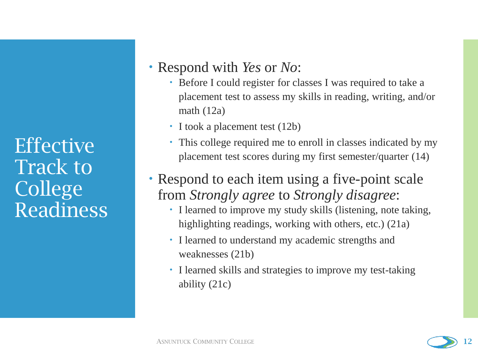**Effective** Track to College Readiness

## Respond with *Yes* or *No*:

- Before I could register for classes I was required to take a placement test to assess my skills in reading, writing, and/or math (12a)
- I took a placement test (12b)
- This college required me to enroll in classes indicated by my placement test scores during my first semester/quarter (14)
- Respond to each item using a five-point scale from *Strongly agree* to *Strongly disagree*:
	- I learned to improve my study skills (listening, note taking, highlighting readings, working with others, etc.) (21a)
	- I learned to understand my academic strengths and weaknesses (21b)
	- I learned skills and strategies to improve my test-taking ability (21c)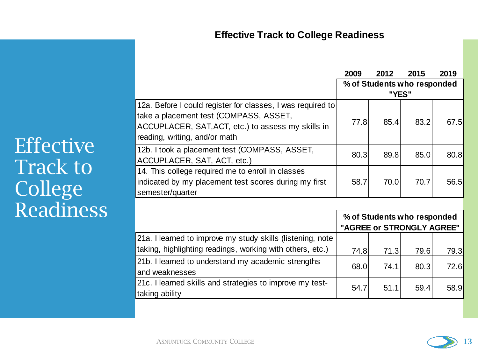#### **Effective Track to College Readiness**

|                                                                                                       | 2009                        | 2012 | 2015 | 2019 |
|-------------------------------------------------------------------------------------------------------|-----------------------------|------|------|------|
|                                                                                                       | % of Students who responded |      |      |      |
|                                                                                                       | "YES"                       |      |      |      |
| 12a. Before I could register for classes, I was required to<br>take a placement test (COMPASS, ASSET, |                             |      |      |      |
| ACCUPLACER, SAT, ACT, etc.) to assess my skills in                                                    | 77.8                        | 85.4 | 83.2 | 67.5 |
| reading, writing, and/or math                                                                         |                             |      |      |      |
| 12b. I took a placement test (COMPASS, ASSET,                                                         | 80.3                        | 89.8 | 85.0 | 80.8 |
| ACCUPLACER, SAT, ACT, etc.)                                                                           |                             |      |      |      |
| 14. This college required me to enroll in classes                                                     |                             |      |      |      |
| indicated by my placement test scores during my first                                                 | 58.7                        | 70.0 | 70.7 | 56.5 |
| semester/quarter                                                                                      |                             |      |      |      |
|                                                                                                       |                             |      |      |      |

|                                                            | % of Students who responded<br>"AGREE or STRONGLY AGREE" |       |      |      |  |
|------------------------------------------------------------|----------------------------------------------------------|-------|------|------|--|
| 21a. I learned to improve my study skills (listening, note |                                                          |       |      |      |  |
| Itaking, highlighting readings, working with others, etc.) | 74.8l                                                    | 71.31 | 79.6 | 79.3 |  |
| 21b. I learned to understand my academic strengths         | 68.0                                                     | 74.1  | 80.3 | 72.6 |  |
| and weaknesses                                             |                                                          |       |      |      |  |
| 21c. I learned skills and strategies to improve my test-   | 54.7                                                     | 51.1  | 59.4 | 58.9 |  |
| taking ability                                             |                                                          |       |      |      |  |

**Effective** Track to College Readiness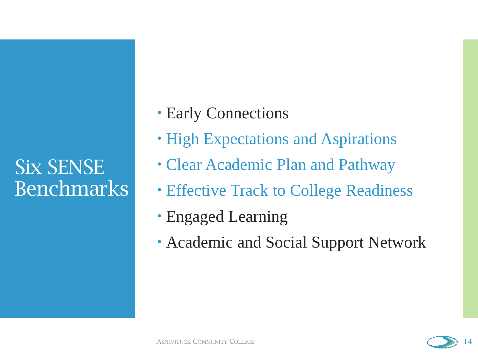Six SENSE Benchmarks

- Early Connections
- High Expectations and Aspirations
- Clear Academic Plan and Pathway
- Effective Track to College Readiness
- Engaged Learning
- Academic and Social Support Network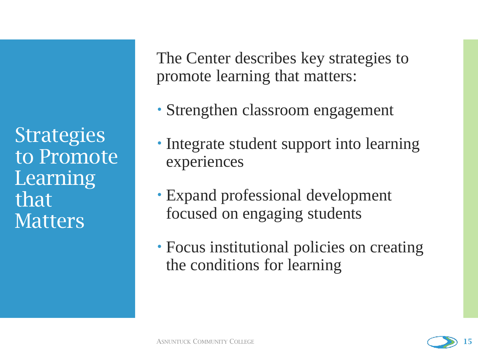**Strategies** to Promote Learning that Matters

The Center describes key strategies to promote learning that matters:

- Strengthen classroom engagement
- Integrate student support into learning experiences
- Expand professional development focused on engaging students
- Focus institutional policies on creating the conditions for learning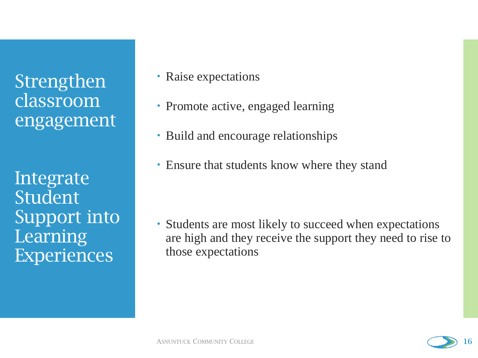Strengthen classroom engagement

Integrate Student Support into Learning Experiences

- Raise expectations
- Promote active, engaged learning
- Build and encourage relationships
- Ensure that students know where they stand

 Students are most likely to succeed when expectations are high and they receive the support they need to rise to those expectations

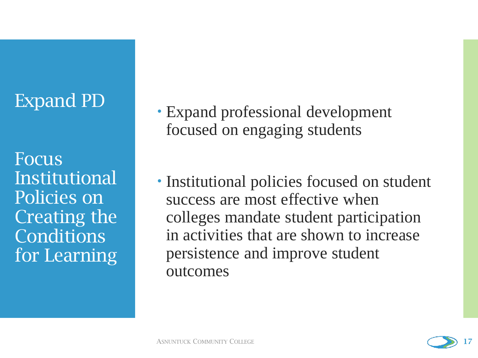## Expand PD

Focus Institutional Policies on Creating the **Conditions** for Learning

- Expand professional development focused on engaging students
- Institutional policies focused on student success are most effective when colleges mandate student participation in activities that are shown to increase persistence and improve student outcomes